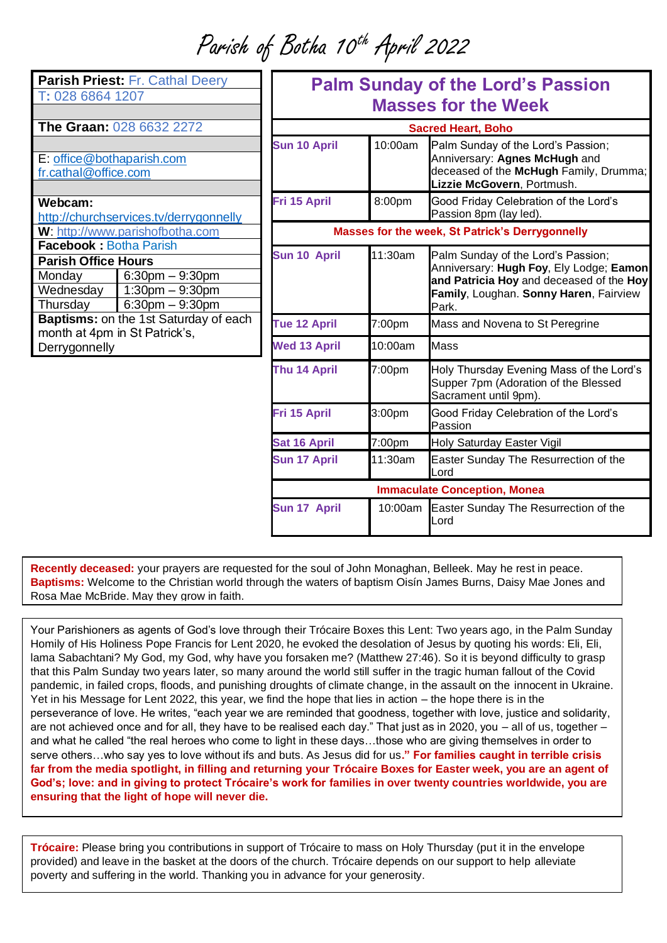Parish of Botha 10th April 2022

| Parish Priest: Fr. Cathal Deery<br>T: 028 6864 1207                                            |                                                                      | <b>Palm Sunday of the Lord's Passion</b><br><b>Masses for the Week</b> |         |                                                                                                                                                                              |
|------------------------------------------------------------------------------------------------|----------------------------------------------------------------------|------------------------------------------------------------------------|---------|------------------------------------------------------------------------------------------------------------------------------------------------------------------------------|
| The Graan: 028 6632 2272                                                                       |                                                                      | <b>Sacred Heart, Boho</b>                                              |         |                                                                                                                                                                              |
| E: office@bothaparish.com<br>fr.cathal@office.com                                              |                                                                      | <b>Sun 10 April</b>                                                    | 10:00am | Palm Sunday of the Lord's Passion;<br>Anniversary: Agnes McHugh and<br>deceased of the McHugh Family, Drumma;<br>Lizzie McGovern, Portmush.                                  |
| Webcam:<br>http://churchservices.tv/derrygonnelly                                              |                                                                      | Fri 15 April                                                           | 8:00pm  | Good Friday Celebration of the Lord's<br>Passion 8pm (lay led).                                                                                                              |
| W: http://www.parishofbotha.com                                                                |                                                                      | Masses for the week, St Patrick's Derrygonnelly                        |         |                                                                                                                                                                              |
| <b>Facebook: Botha Parish</b><br><b>Parish Office Hours</b><br>Monday<br>Wednesday<br>Thursday | $6:30$ pm $-9:30$ pm<br>$1:30$ pm $-9:30$ pm<br>$6:30$ pm $-9:30$ pm | Sun 10 April                                                           | 11:30am | Palm Sunday of the Lord's Passion;<br>Anniversary: Hugh Foy, Ely Lodge; Eamon<br>and Patricia Hoy and deceased of the Hoy<br>Family, Loughan. Sonny Haren, Fairview<br>Park. |
| Baptisms: on the 1st Saturday of each                                                          |                                                                      | Tue 12 April                                                           | 7:00pm  | Mass and Novena to St Peregrine                                                                                                                                              |
| month at 4pm in St Patrick's,<br>Derrygonnelly                                                 |                                                                      | <b>Wed 13 April</b>                                                    | 10:00am | Mass                                                                                                                                                                         |
|                                                                                                |                                                                      | Thu 14 April                                                           | 7:00pm  | Holy Thursday Evening Mass of the Lord's<br>Supper 7pm (Adoration of the Blessed<br>Sacrament until 9pm).                                                                    |
|                                                                                                |                                                                      | Fri 15 April                                                           | 3:00pm  | Good Friday Celebration of the Lord's<br>Passion                                                                                                                             |
|                                                                                                |                                                                      | <b>Sat 16 April</b>                                                    | 7:00pm  | Holy Saturday Easter Vigil                                                                                                                                                   |
|                                                                                                |                                                                      | <b>Sun 17 April</b>                                                    | 11:30am | Easter Sunday The Resurrection of the<br>Lord                                                                                                                                |
|                                                                                                |                                                                      | <b>Immaculate Conception, Monea</b>                                    |         |                                                                                                                                                                              |
|                                                                                                |                                                                      | Sun 17 April                                                           | 10:00am | Easter Sunday The Resurrection of the<br>Lord                                                                                                                                |

**Recently deceased:** your prayers are requested for the soul of John Monaghan, Belleek. May he rest in peace. **Baptisms:** Welcome to the Christian world through the waters of baptism Oisín James Burns, Daisy Mae Jones and Rosa Mae McBride. May they grow in faith.

Your Parishioners as agents of God's love through their Trócaire Boxes this Lent: Two years ago, in the Palm Sunday Homily of His Holiness Pope Francis for Lent 2020, he evoked the desolation of Jesus by quoting his words: Eli, Eli, lama Sabachtani? My God, my God, why have you forsaken me? (Matthew 27:46). So it is beyond difficulty to grasp that this Palm Sunday two years later, so many around the world still suffer in the tragic human fallout of the Covid pandemic, in failed crops, floods, and punishing droughts of climate change, in the assault on the innocent in Ukraine. Yet in his Message for Lent 2022, this year, we find the hope that lies in action – the hope there is in the perseverance of love. He writes, "each year we are reminded that goodness, together with love, justice and solidarity, are not achieved once and for all, they have to be realised each day." That just as in 2020, you – all of us, together – and what he called "the real heroes who come to light in these days…those who are giving themselves in order to serve others…who say yes to love without ifs and buts. As Jesus did for us**." For families caught in terrible crisis far from the media spotlight, in filling and returning your Trócaire Boxes for Easter week, you are an agent of God's; love: and in giving to protect Trócaire's work for families in over twenty countries worldwide, you are ensuring that the light of hope will never die.**

**Trócaire:** Please bring you contributions in support of Trócaire to mass on Holy Thursday (put it in the envelope provided) and leave in the basket at the doors of the church. Trócaire depends on our support to help alleviate poverty and suffering in the world. Thanking you in advance for your generosity.